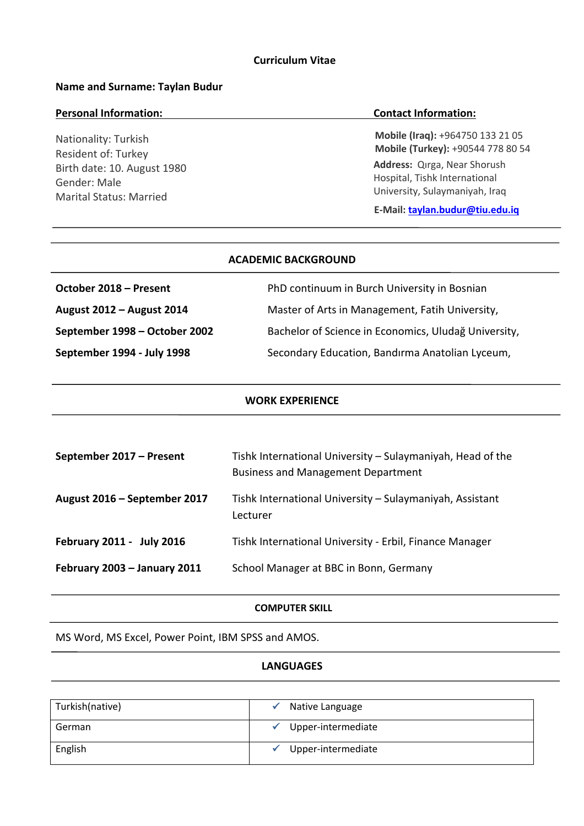## **Name and Surname: Taylan Budur**

#### **Personal Information: Contact Information:**

Nationality: Turkish Resident of: Turkey Birth date: 10. August 1980 Gender: Male Marital Status: Married

**Mobile (Iraq):** +964750 133 21 05 **Mobile (Turkey):** +90544 778 80 54

**Address:** Qırga, Near Shorush Hospital, Tishk International University, Sulaymaniyah, Iraq

**E-Mail: taylan.budur@tiu.edu.iq**

| ALADEMIL BALKGROUND    |                                              |
|------------------------|----------------------------------------------|
| October 2018 - Present | PhD continuum in Burch University in Bosnian |

**ACADEMIC BACKGROUND**

**August 2012 – August 2014** Master of Arts in Management, Fatih University,

**September 1998 – October 2002** Bachelor of Science in Economics, Uludağ University,

**September 1994 - July 1998** Secondary Education, Bandırma Anatolian Lyceum,

#### **WORK EXPERIENCE**

| September 2017 - Present     | Tishk International University – Sulaymaniyah, Head of the<br><b>Business and Management Department</b> |
|------------------------------|---------------------------------------------------------------------------------------------------------|
| August 2016 - September 2017 | Tishk International University - Sulaymaniyah, Assistant<br>Lecturer                                    |
| February 2011 - July 2016    | Tishk International University - Erbil, Finance Manager                                                 |
| February 2003 - January 2011 | School Manager at BBC in Bonn, Germany                                                                  |

# **COMPUTER SKILL**

MS Word, MS Excel, Power Point, IBM SPSS and AMOS.

## **LANGUAGES**

| Turkish(native) | Native Language    |  |
|-----------------|--------------------|--|
| German          | Upper-intermediate |  |
| English         | Upper-intermediate |  |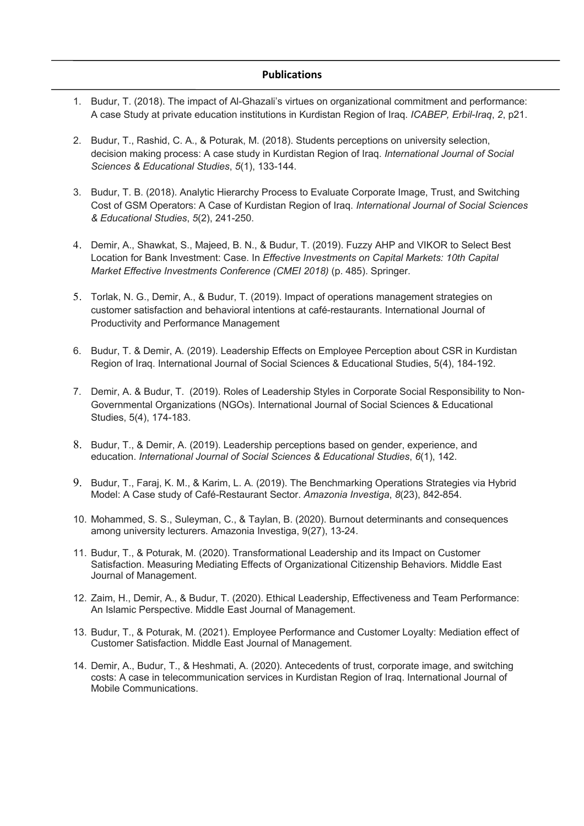#### **Publications**

- 1. Budur, T. (2018). The impact of Al-Ghazali's virtues on organizational commitment and performance: A case Study at private education institutions in Kurdistan Region of Iraq. *ICABEP, Erbil-Iraq*, *2*, p21.
- 2. Budur, T., Rashid, C. A., & Poturak, M. (2018). Students perceptions on university selection, decision making process: A case study in Kurdistan Region of Iraq. *International Journal of Social Sciences & Educational Studies*, *5*(1), 133-144.
- 3. Budur, T. B. (2018). Analytic Hierarchy Process to Evaluate Corporate Image, Trust, and Switching Cost of GSM Operators: A Case of Kurdistan Region of Iraq. *International Journal of Social Sciences & Educational Studies*, *5*(2), 241-250.
- 4. Demir, A., Shawkat, S., Majeed, B. N., & Budur, T. (2019). Fuzzy AHP and VIKOR to Select Best Location for Bank Investment: Case. In *Effective Investments on Capital Markets: 10th Capital Market Effective Investments Conference (CMEI 2018)* (p. 485). Springer.
- 5. Torlak, N. G., Demir, A., & Budur, T. (2019). Impact of operations management strategies on customer satisfaction and behavioral intentions at café-restaurants. International Journal of Productivity and Performance Management
- 6. Budur, T. & Demir, A. (2019). Leadership Effects on Employee Perception about CSR in Kurdistan Region of Iraq. International Journal of Social Sciences & Educational Studies, 5(4), 184-192.
- 7. Demir, A. & Budur, T. (2019). Roles of Leadership Styles in Corporate Social Responsibility to Non-Governmental Organizations (NGOs). International Journal of Social Sciences & Educational Studies, 5(4), 174-183.
- 8. Budur, T., & Demir, A. (2019). Leadership perceptions based on gender, experience, and education. *International Journal of Social Sciences & Educational Studies*, *6*(1), 142.
- 9. Budur, T., Faraj, K. M., & Karim, L. A. (2019). The Benchmarking Operations Strategies via Hybrid Model: A Case study of Café-Restaurant Sector. *Amazonia Investiga*, *8*(23), 842-854.
- 10. Mohammed, S. S., Suleyman, C., & Taylan, B. (2020). Burnout determinants and consequences among university lecturers. Amazonia Investiga, 9(27), 13-24.
- 11. Budur, T., & Poturak, M. (2020). Transformational Leadership and its Impact on Customer Satisfaction. Measuring Mediating Effects of Organizational Citizenship Behaviors. Middle East Journal of Management.
- 12. Zaim, H., Demir, A., & Budur, T. (2020). Ethical Leadership, Effectiveness and Team Performance: An Islamic Perspective. Middle East Journal of Management.
- 13. Budur, T., & Poturak, M. (2021). Employee Performance and Customer Loyalty: Mediation effect of Customer Satisfaction. Middle East Journal of Management.
- 14. Demir, A., Budur, T., & Heshmati, A. (2020). Antecedents of trust, corporate image, and switching costs: A case in telecommunication services in Kurdistan Region of Iraq. International Journal of Mobile Communications.